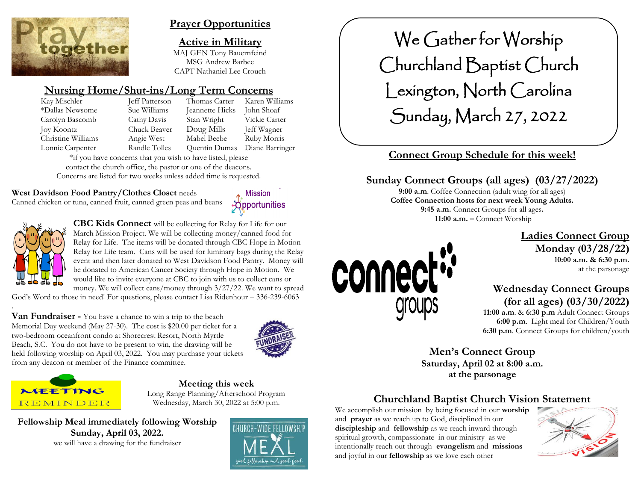

# **Prayer Opportunities**

**Active in Military** MAJ GEN Tony Bauernfeind MSG Andrew Barbee CAPT Nathaniel Lee Crouch

# **Nursing Home/Shut-ins/Long Term Concerns**

| Jeff Patterson | Thomas Carter   | Karen Williams  |
|----------------|-----------------|-----------------|
| Sue Williams   | Jeannette Hicks | John Shoaf      |
| Cathy Davis    | Stan Wright     | Vickie Carter   |
| Chuck Beaver   | Doug Mills      | Jeff Wagner     |
| Angie West     | Mabel Beebe     | Ruby Morris     |
| Randle Tolles  | Quentin Dumas   | Diane Barringer |
|                |                 |                 |

\*if you have concerns that you wish to have listed, please contact the church office, the pastor or one of the deacons. Concerns are listed for two weeks unless added time is requested.

## **West Davidson Food Pantry/Clothes Closet** needs

Canned chicken or tuna, canned fruit, canned green peas and beans





.

**CBC Kids Connect** will be collecting for Relay for Life for our March Mission Project. We will be collecting money/canned food for Relay for Life. The items will be donated through CBC Hope in Motion Relay for Life team. Cans will be used for luminary bags during the Relay event and then later donated to West Davidson Food Pantry. Money will be donated to American Cancer Society through Hope in Motion. We would like to invite everyone at CBC to join with us to collect cans or money. We will collect cans/money through 3/27/22. We want to spread

God's Word to those in need! For questions, please contact Lisa Ridenhour – 336-239-6063

**Van Fundraiser -** You have a chance to win a trip to the beach Memorial Day weekend (May 27-30). The cost is \$20.00 per ticket for a two-bedroom oceanfront condo at Shorecrest Resort, North Myrtle Beach, S.C. You do not have to be present to win, the drawing will be held following worship on April 03, 2022. You may purchase your tickets from any deacon or member of the Finance committee.





**Meeting this week** Long Range Planning/Afterschool Program Wednesday, March 30, 2022 at 5:00 p.m.

**Fellowship Meal immediately following Worship Sunday, April 03, 2022.** we will have a drawing for the fundraiser



We Gather for Worship Churchland Baptist Church Lexington, North Carolina Sunday, March 27, 2022

# **Connect Group Schedule for this week!**

# **Sunday Connect Groups (all ages) (03/27/2022)**

**9:00 a.m**. Coffee Connection (adult wing for all ages) **Coffee Connection hosts for next week Young Adults. 9:45 a.m.** Connect Groups for all ages**. 11:00 a.m. –** Connect Worship



#### **Ladies Connect Group Monday (03/28/22) 10:00 a.m. & 6:30 p.m.** at the parsonage

 **Wednesday Connect Groups (for all ages) (03/30/2022)**

 **11:00 a.m**. & **6:30 p.m** Adult Connect Groups  **6:00 p.m**. Light meal for Children/Youth **6:30 p.m**. Connect Groups for children/youth

**Men's Connect Group Saturday, April 02 at 8:00 a.m. at the parsonage**

# **Churchland Baptist Church Vision Statement**

We accomplish our mission by being focused in our **worship** and **prayer** as we reach up to God, disciplined in our **discipleship** and **fellowship** as we reach inward through spiritual growth, compassionate in our ministry as we intentionally reach out through **evangelism** and **missions** and joyful in our **fellowship** as we love each other

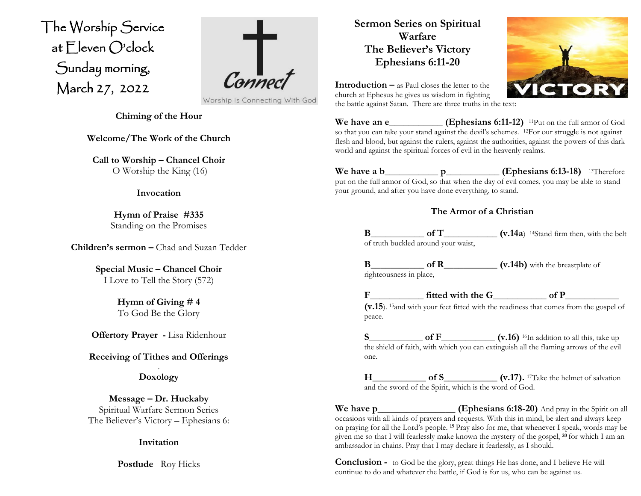The Worship Service at Eleven O'clock Sunday morning, March 27, 2022  $\overline{\phantom{a}}$ 



Worship is Connecting With God

**Chiming of the Hour**

**Welcome/The Work of the Church**

**Call to Worship – Chancel Choir** O Worship the King (16)

#### **Invocation**

**Hymn of Praise #335** Standing on the Promises

**Children's sermon –** Chad and Suzan Tedder

**Special Music – Chancel Choir** I Love to Tell the Story (572)

> **Hymn of Giving # 4** To God Be the Glory

**Offertory Prayer -** Lisa Ridenhour

**Receiving of Tithes and Offerings**

. **Doxology**

**Message – Dr. Huckaby** Spiritual Warfare Sermon Series The Believer's Victory – Ephesians 6:

**Invitation**

**Postlude** Roy Hicks

**Sermon Series on Spiritual Warfare The Believer's Victory Ephesians 6:11-20**



**Introduction –** as Paul closes the letter to the church at Ephesus he gives us wisdom in fighting the battle against Satan. There are three truths in the text:

**We have an e\_\_\_\_\_\_\_\_\_\_\_\_\_\_\_ (Ephesians 6:11-12)** <sup>11</sup>Put on the full armor of God so that you can take your stand against the devil's schemes. <sup>12</sup>For our struggle is not against flesh and blood, but against the rulers, against the authorities, against the powers of this dark world and against the spiritual forces of evil in the heavenly realms.

**We have a b\_\_\_\_\_\_\_\_\_\_\_ p\_\_\_\_\_\_\_\_\_\_\_ (Ephesians 6:13-18)**  <sup>13</sup>Therefore put on the full armor of God, so that when the day of evil comes, you may be able to stand your ground, and after you have done everything, to stand.

## **The Armor of a Christian**

**B\_\_\_\_\_\_\_\_\_\_\_ of T\_\_\_\_\_\_\_\_\_\_\_ (v.14a**) 14Stand firm then, with the belt of truth buckled around your waist,

**B\_\_\_\_\_\_\_\_\_\_\_ of R\_\_\_\_\_\_\_\_\_\_\_ (v.14b)** with the breastplate of righteousness in place,

**F\_\_\_\_\_\_\_\_\_\_\_ fitted with the G\_\_\_\_\_\_\_\_\_\_\_ of P\_\_\_\_\_\_\_\_\_\_\_ (v.15**). 15and with your feet fitted with the readiness that comes from the gospel of peace.

**S\_\_\_\_\_\_\_\_\_\_\_ of F\_\_\_\_\_\_\_\_\_\_\_ (v.16)** 16In addition to all this, take up the shield of faith, with which you can extinguish all the flaming arrows of the evil one.

**H\_\_\_\_\_\_\_\_\_\_\_ of S\_\_\_\_\_\_\_\_\_\_\_ (v.17).** 17Take the helmet of salvation and the sword of the Spirit, which is the word of God.

**We have p\_\_\_\_\_\_\_\_\_\_\_\_\_\_\_\_ (Ephesians 6:18-20)** And pray in the Spirit on all occasions with all kinds of prayers and requests. With this in mind, be alert and always keep on praying for all the Lord's people. **<sup>19</sup>** Pray also for me, that whenever I speak, words may be given me so that I will fearlessly make known the mystery of the gospel, **<sup>20</sup>** for which I am an ambassador in chains. Pray that I may declare it fearlessly, as I should.

**Conclusion -** to God be the glory, great things He has done, and I believe He will continue to do and whatever the battle, if God is for us, who can be against us.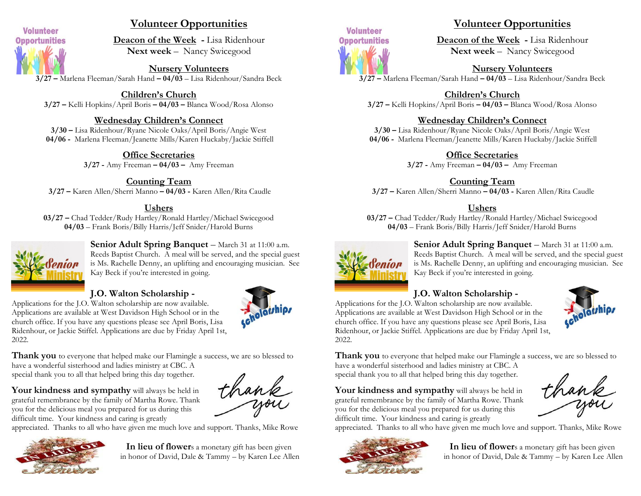

# **Volunteer Opportunities**

**Deacon of the Week -** Lisa Ridenhour **Next week** – Nancy Swicegood

**Nursery Volunteers 3/27 –** Marlena Fleeman/Sarah Hand **– 04/03** – Lisa Ridenhour/Sandra Beck

**Children's Church 3/27 –** Kelli Hopkins/April Boris **– 04/03 –** Blanca Wood/Rosa Alonso

## **Wednesday Children's Connect**

**3/30 –** Lisa Ridenhour/Ryane Nicole Oaks/April Boris/Angie West **04/06 -** Marlena Fleeman/Jeanette Mills/Karen Huckaby/Jackie Stiffell

> **Office Secretaries 3/27 -** Amy Freeman **– 04/03 –** Amy Freeman

**Counting Team 3/27 –** Karen Allen/Sherri Manno **– 04/03 -** Karen Allen/Rita Caudle

#### **Ushers**

**03/27 –** Chad Tedder/Rudy Hartley/Ronald Hartley/Michael Swicegood **04/03** – Frank Boris/Billy Harris/Jeff Snider/Harold Burns



**Senior Adult Spring Banquet** – March 31 at 11:00 a.m. Reeds Baptist Church. A meal will be served, and the special guest is Ms. Rachelle Denny, an uplifting and encouraging musician. See Kay Beck if you're interested in going.

#### **J.O. Walton Scholarship -**

Applications for the J.O. Walton scholarship are now available. Applications are available at West Davidson High School or in the church office. If you have any questions please see April Boris, Lisa Ridenhour, or Jackie Stiffel. Applications are due by Friday April 1st, 2022.



thank

**Thank you** to everyone that helped make our Flamingle a success, we are so blessed to have a wonderful sisterhood and ladies ministry at CBC. A

special thank you to all that helped bring this day together.

Your kindness and sympathy will always be held in grateful remembrance by the family of Martha Rowe. Thank you for the delicious meal you prepared for us during this difficult time. Your kindness and caring is greatly

appreciated. Thanks to all who have given me much love and support. Thanks, Mike Rowe



**In lieu of flower**s a monetary gift has been given in honor of David, Dale & Tammy – by Karen Lee Allen



## **Volunteer Opportunities**

**Deacon of the Week -** Lisa Ridenhour **Next week** – Nancy Swicegood

**Nursery Volunteers**

**3/27 –** Marlena Fleeman/Sarah Hand **– 04/03** – Lisa Ridenhour/Sandra Beck

**Children's Church 3/27 –** Kelli Hopkins/April Boris **– 04/03 –** Blanca Wood/Rosa Alonso

#### **Wednesday Children's Connect**

**3/30 –** Lisa Ridenhour/Ryane Nicole Oaks/April Boris/Angie West **04/06 -** Marlena Fleeman/Jeanette Mills/Karen Huckaby/Jackie Stiffell

**Office Secretaries**

**3/27 -** Amy Freeman **– 04/03 –** Amy Freeman

**Counting Team**

**3/27 –** Karen Allen/Sherri Manno **– 04/03 -** Karen Allen/Rita Caudle

#### **Ushers**

**03/27 –** Chad Tedder/Rudy Hartley/Ronald Hartley/Michael Swicegood **04/03** – Frank Boris/Billy Harris/Jeff Snider/Harold Burns



**Senior Adult Spring Banquet** – March 31 at 11:00 a.m. Reeds Baptist Church. A meal will be served, and the special guest is Ms. Rachelle Denny, an uplifting and encouraging musician. See Kay Beck if you're interested in going.

# **J.O. Walton Scholarship -**

Applications for the J.O. Walton scholarship are now available. Applications are available at West Davidson High School or in the church office. If you have any questions please see April Boris, Lisa Ridenhour, or Jackie Stiffel. Applications are due by Friday April 1st, 2022.

**Thank you** to everyone that helped make our Flamingle a success, we are so blessed to have a wonderful sisterhood and ladies ministry at CBC. A special thank you to all that helped bring this day together.

Your kindness and sympathy will always be held in grateful remembrance by the family of Martha Rowe. Thank you for the delicious meal you prepared for us during this difficult time. Your kindness and caring is greatly

thank

appreciated. Thanks to all who have given me much love and support. Thanks, Mike Rowe



**In lieu of flower**s a monetary gift has been given in honor of David, Dale & Tammy – by Karen Lee Allen